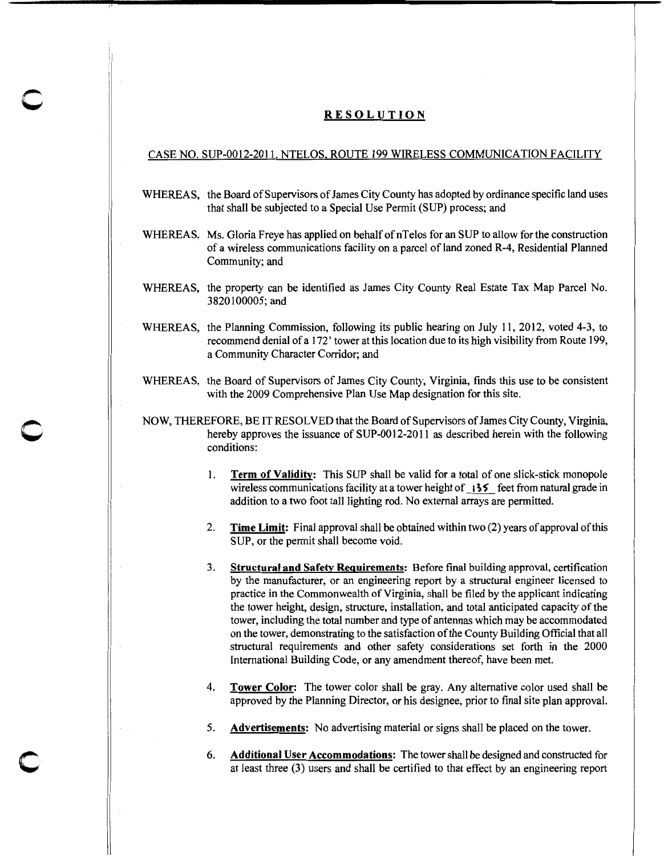## RESOLUTION

## CASE NO. SUP-00 12-2011. NTELOS, ROUTE 199 WIRELESS COMMUNICATION FACILITY

- WHEREAS, the Board of Supervisors of James City County has adopted by ordinance specific land uses that shall be subjected to a Special Use Permit (SUP) process; and
- WHEREAS, Ms. Gloria Freye has applied on behalf of nTelos for an SUP to allow for the construction of a wireless communications facility on a parcel of land zoned R-4, Residential Planned Community; and
- WHEREAS, the property can be identified as James City County Real Estate Tax Map Parcel No. 3820100005;and
- WHEREAS, the Planning Commission, following its public hearing on July 11, 2012, voted 4-3, to recommend denial of a 172' tower at this location due to its high visibility from Route 199, a Community Character Corridor; and
- WHEREAS, the Board of Supervisors of James City County, Virginia, finds this use to be consistent with the 2009 Comprehensive Plan Use Map designation for this site.
- NOW, THEREFORE, BE IT RESOLVED that the Board of Supervisors of James City County, Virginia, hereby approves the issuance of SUP-0012-2011 as described herein with the following conditions:

c

c

- 1. Term of Validity: This SUP shall be valid for a total of one slick-stick monopole wireless communications facility at a tower height of  $\frac{135}{125}$  feet from natural grade in addition to a two foot tall lighting rod. No external arrays are permitted.
- 2. Time Limit: Final approval shall be obtained within two (2) years of approval of this SUP, or the permit shall become void.
- 3. Structural and Safety Requirements: Before final building approval, certification by the manufacturer, or an engineering report by a structural engineer licensed to practice in the Commonwealth of Virginia, shall be filed by the applicant indicating the tower height, design, structure, installation, and total anticipated capacity of the tower, including the total number and type of antennas which may be accommodated on the tower, demonstrating to the satisfaction of the County Building Official that all structural requirements and other safety considerations set forth in the 2000 International Building Code, or any amendment thereof, have been met.
- 4. Tower Color: The tower color shall be gray. Any alternative color used shall be approved by the Planning Director, or his designee, prior to final site plan approval.
- 5. Advertisements: No advertising material or signs shall be placed on the tower.
- 6. Additional User Accommodations: The tower shall be designed and constructed for at least three (3) users and shall be certified to that effect by an engineering report